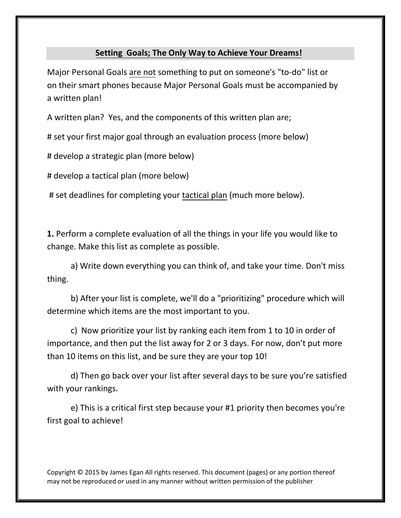## **Setting Goals; The Only Way to Achieve Your Dreams!**

Major Personal Goals are not something to put on someone's "to-do" list or on their smart phones because Major Personal Goals must be accompanied by a written plan!

A written plan? Yes, and the components of this written plan are;

# set your first major goal through an evaluation process (more below)

# develop a strategic plan (more below)

# develop a tactical plan (more below)

# set deadlines for completing your tactical plan (much more below).

**1.** Perform a complete evaluation of all the things in your life you would like to change. Make this list as complete as possible.

a) Write down everything you can think of, and take your time. Don't miss thing.

b) After your list is complete, we'll do a "prioritizing" procedure which will [1] determine which item the most important to you.

c) $\mathbb{R}$ Now prioritize your list by ranking each item from 1 to 10 in order of  $\mathbb{R}$ importance, and then put the list away for 2 or 3 days. For now, don't put more than 10 items on this list, and be sure they are your top 10!

d) Then go back over your list after several days to be sure you're satisfied [9] with your rankings.

e)This is a critical first step because your #1 priority then becomes you're? first goal to achieve!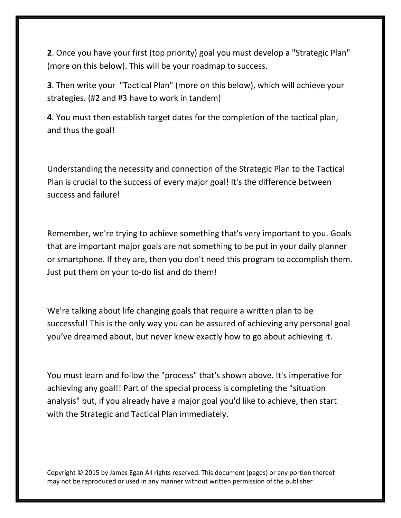**2**. Once you have your first (top priority) goal you must develop a "Strategic Plan" (more on this below). This will be your roadmap to success.

**3**. Then write your "Tactical Plan" (more on this below), which will achieve your strategies. (#2 and #3 have to work in tandem)

**4**. You must then establish target dates for the completion of the tactical plan, and thus the goal!

Understanding the necessity and connection of the Strategic Plan to the Tactical Plan is crucial to the success of every major goal! It's the difference between success and failure!

Remember, we're trying to achieve something that's very important to you. Goals that are important major goals are not something to be put in your daily planner or smartphone. If they are, then you don't need this program to accomplish them. Just put them on your to-do list and do them!

We're talking about life changing goals that require a written plan to be successful! This is the only way you can be assured of achieving any personal goal you've dreamed about, but never knew exactly how to go about achieving it.

You must learn and follow the "process" that's shown above. It's imperative for achieving any goal!! Part of the special process is completing the "situation analysis" but, if you already have a major goal you'd like to achieve, then start with the Strategic and Tactical Plan immediately.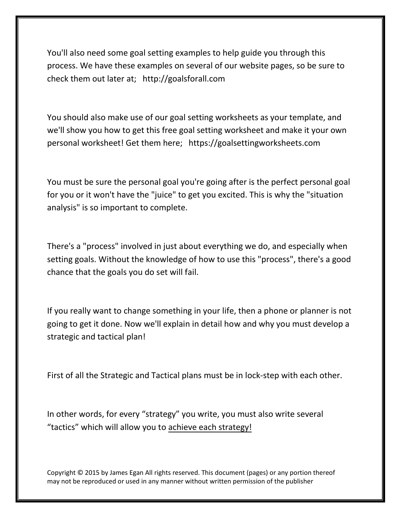You'll also need some goal setting examples to help guide you through this process. We have these examples on several of our website pages, so be sure to check them out later at; <http://goalsforall.com>

You should also make use of our goal setting worksheets as your template, and we'll show you how to get this free goal setting worksheet and make it your own personal worksheet! Get them here; https[://goalsettingworksheets.com](http://goalsettingworksheets.com)

You must be sure the personal goal you're going after is the perfect personal goal for you or it won't have the "juice" to get you excited. This is why the "situation analysis" is so important to complete.

There's a "process" involved in just about everything we do, and especially when setting goals. Without the knowledge of how to use this "process", there's a good chance that the goals you do set will fail.

If you really want to change something in your life, then a phone or planner is not going to get it done. Now we'll explain in detail how and why you must develop a strategic and tactical plan!

First of all the Strategic and Tactical plans must be in lock-step with each other.

In other words, for every "strategy" you write, you must also write several "tactics" which will allow you to achieve each strategy!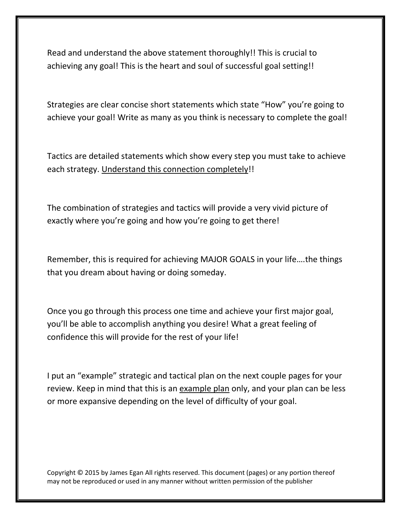Read and understand the above statement thoroughly!! This is crucial to achieving any goal! This is the heart and soul of successful goal setting!!

Strategies are clear concise short statements which state "How" you're going to achieve your goal! Write as many as you think is necessary to complete the goal!

Tactics are detailed statements which show every step you must take to achieve each strategy. Understand this connection completely!!

The combination of strategies and tactics will provide a very vivid picture of exactly where you're going and how you're going to get there!

Remember, this is required for achieving MAJOR GOALS in your life….the things that you dream about having or doing someday.

Once you go through this process one time and achieve your first major goal, you'll be able to accomplish anything you desire! What a great feeling of confidence this will provide for the rest of your life!

I put an "example" strategic and tactical plan on the next couple pages for your review. Keep in mind that this is an example plan only, and your plan can be less or more expansive depending on the level of difficulty of your goal.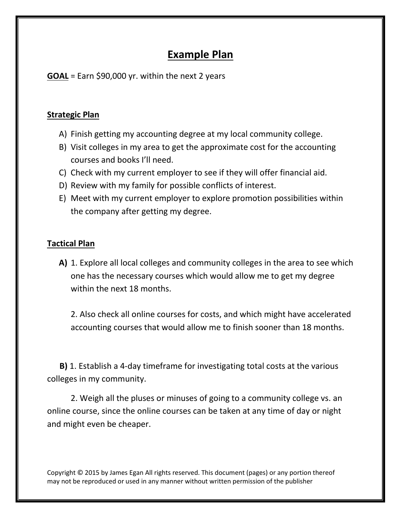## **Example Plan**

**GOAL** = Earn \$90,000 yr. within the next 2 years

## **Strategic Plan**

- A) Finish getting my accounting degree at my local community college.
- B) Visit colleges in my area to get the approximate cost for the accounting courses and books I'll need.
- C) Check with my current employer to see if they will offer financial aid.
- D) Review with my family for possible conflicts of interest.
- E) Meet with my current employer to explore promotion possibilities within the company after getting my degree.

## **Tactical Plan**

**A)** 1. Explore all local colleges and community colleges in the area to see which one has the necessary courses which would allow me to get my degree within the next 18 months.

2. Also check all online courses for costs, and which might have accelerated accounting courses that would allow me to finish sooner than 18 months.

 **B)** 1. Establish a 4-day timeframe for investigating total costs at the various colleges in my community.

2. Weigh all the pluses or minuses of going to a community college vs. an online course, since the online courses can be taken at any time of day or night and might even be cheaper.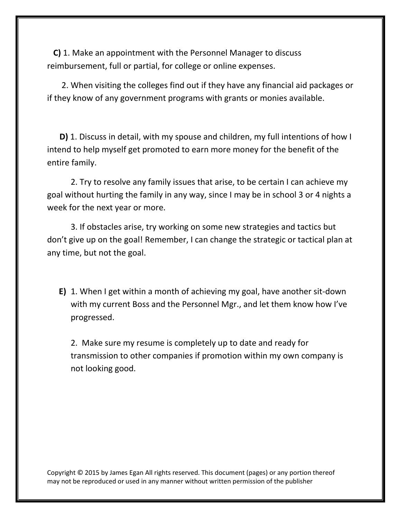**C)** 1. Make an appointment with the Personnel Manager to discuss reimbursement, full or partial, for college or online expenses.

 2. When visiting the colleges find out if they have any financial aid packages or if they know of any government programs with grants or monies available.

 **D)** 1. Discuss in detail, with my spouse and children, my full intentions of how I intend to help myself get promoted to earn more money for the benefit of the entire family.

2. Try to resolve any family issues that arise, to be certain I can achieve my goal without hurting the family in any way, since I may be in school 3 or 4 nights a week for the next year or more.

3. If obstacles arise, try working on some new strategies and tactics but don't give up on the goal! Remember, I can change the strategic or tactical plan at any time, but not the goal.

**E)** 1. When I get within a month of achieving my goal, have another sit-down with my current Boss and the Personnel Mgr., and let them know how I've progressed.

2. Make sure my resume is completely up to date and ready for transmission to other companies if promotion within my own company is not looking good.